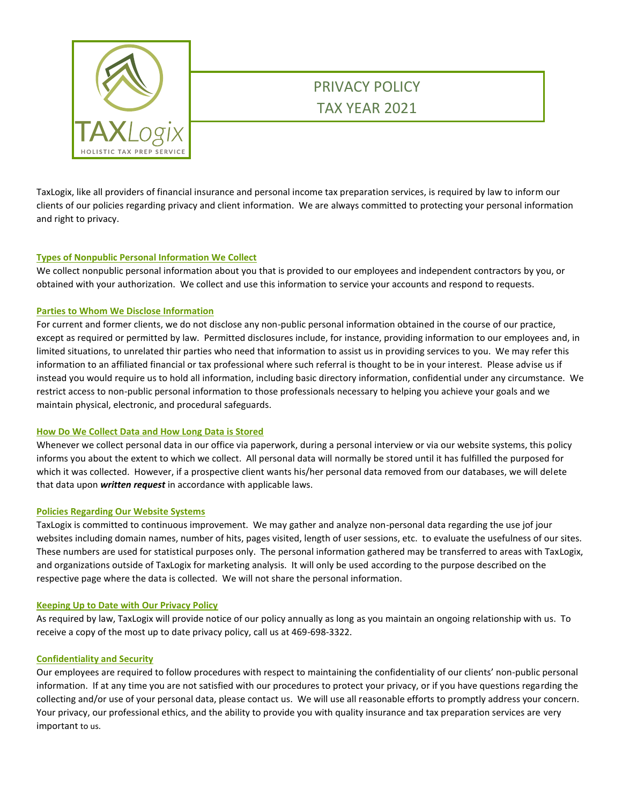

# PRIVACY POLICY TAX YEAR 2021

TaxLogix, like all providers of financial insurance and personal income tax preparation services, is required by law to inform our clients of our policies regarding privacy and client information. We are always committed to protecting your personal information and right to privacy.

### **Types of Nonpublic Personal Information We Collect**

We collect nonpublic personal information about you that is provided to our employees and independent contractors by you, or obtained with your authorization. We collect and use this information to service your accounts and respond to requests.

### **Parties to Whom We Disclose Information**

For current and former clients, we do not disclose any non-public personal information obtained in the course of our practice, except as required or permitted by law. Permitted disclosures include, for instance, providing information to our employees and, in limited situations, to unrelated thir parties who need that information to assist us in providing services to you. We may refer this information to an affiliated financial or tax professional where such referral is thought to be in your interest. Please advise us if instead you would require us to hold all information, including basic directory information, confidential under any circumstance. We restrict access to non-public personal information to those professionals necessary to helping you achieve your goals and we maintain physical, electronic, and procedural safeguards.

### **How Do We Collect Data and How Long Data is Stored**

Whenever we collect personal data in our office via paperwork, during a personal interview or via our website systems, this policy informs you about the extent to which we collect. All personal data will normally be stored until it has fulfilled the purposed for which it was collected. However, if a prospective client wants his/her personal data removed from our databases, we will delete that data upon *written request* in accordance with applicable laws.

### **Policies Regarding Our Website Systems**

TaxLogix is committed to continuous improvement. We may gather and analyze non-personal data regarding the use jof jour websites including domain names, number of hits, pages visited, length of user sessions, etc. to evaluate the usefulness of our sites. These numbers are used for statistical purposes only. The personal information gathered may be transferred to areas with TaxLogix, and organizations outside of TaxLogix for marketing analysis. It will only be used according to the purpose described on the respective page where the data is collected. We will not share the personal information.

### **Keeping Up to Date with Our Privacy Policy**

As required by law, TaxLogix will provide notice of our policy annually as long as you maintain an ongoing relationship with us. To receive a copy of the most up to date privacy policy, call us at 469-698-3322.

### **Confidentiality and Security**

Our employees are required to follow procedures with respect to maintaining the confidentiality of our clients' non-public personal information. If at any time you are not satisfied with our procedures to protect your privacy, or if you have questions regarding the collecting and/or use of your personal data, please contact us. We will use all reasonable efforts to promptly address your concern. Your privacy, our professional ethics, and the ability to provide you with quality insurance and tax preparation services are very important to us.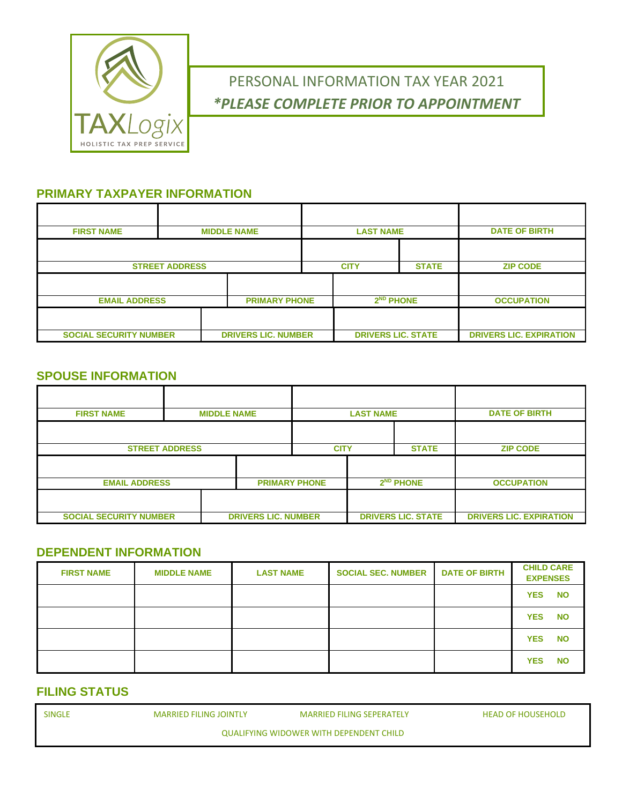

# PERSONAL INFORMATION TAX YEAR 2021 *\*PLEASE COMPLETE PRIOR TO APPOINTMENT*

## **PRIMARY TAXPAYER INFORMATION**

| <b>FIRST NAME</b>             | <b>MIDDLE NAME</b>    |                            |                      | <b>LAST NAME</b> |                           |              | <b>DATE OF BIRTH</b>           |
|-------------------------------|-----------------------|----------------------------|----------------------|------------------|---------------------------|--------------|--------------------------------|
|                               |                       |                            |                      |                  |                           |              |                                |
|                               | <b>STREET ADDRESS</b> |                            |                      | <b>CITY</b>      |                           | <b>STATE</b> | <b>ZIP CODE</b>                |
|                               |                       |                            |                      |                  |                           |              |                                |
| <b>EMAIL ADDRESS</b>          |                       |                            | <b>PRIMARY PHONE</b> |                  | $2ND$ PHONE               |              | <b>OCCUPATION</b>              |
|                               |                       |                            |                      |                  |                           |              |                                |
| <b>SOCIAL SECURITY NUMBER</b> |                       | <b>DRIVERS LIC. NUMBER</b> |                      |                  | <b>DRIVERS LIC. STATE</b> |              | <b>DRIVERS LIC. EXPIRATION</b> |

## **SPOUSE INFORMATION**

| <b>FIRST NAME</b>             | <b>MIDDLE NAME</b>    |                            | <b>LAST NAME</b> |                             |  | <b>DATE OF BIRTH</b>      |                                |
|-------------------------------|-----------------------|----------------------------|------------------|-----------------------------|--|---------------------------|--------------------------------|
|                               |                       |                            |                  |                             |  |                           |                                |
|                               | <b>STREET ADDRESS</b> |                            |                  | <b>STATE</b><br><b>CITY</b> |  |                           | <b>ZIP CODE</b>                |
|                               |                       |                            |                  |                             |  |                           |                                |
| <b>EMAIL ADDRESS</b>          |                       | <b>PRIMARY PHONE</b>       |                  | $2ND$ PHONE                 |  | <b>OCCUPATION</b>         |                                |
|                               |                       |                            |                  |                             |  |                           |                                |
| <b>SOCIAL SECURITY NUMBER</b> |                       | <b>DRIVERS LIC. NUMBER</b> |                  |                             |  | <b>DRIVERS LIC. STATE</b> | <b>DRIVERS LIC. EXPIRATION</b> |

### **DEPENDENT INFORMATION**

| <b>FIRST NAME</b> | <b>MIDDLE NAME</b> | <b>LAST NAME</b> | <b>SOCIAL SEC. NUMBER</b> | <b>DATE OF BIRTH</b> | <b>CHILD CARE</b><br><b>EXPENSES</b> |
|-------------------|--------------------|------------------|---------------------------|----------------------|--------------------------------------|
|                   |                    |                  |                           |                      | <b>YES</b><br><b>NO</b>              |
|                   |                    |                  |                           |                      | <b>YES</b><br><b>NO</b>              |
|                   |                    |                  |                           |                      | <b>YES</b><br><b>NO</b>              |
|                   |                    |                  |                           |                      | <b>YES</b><br><b>NO</b>              |

## **FILING STATUS**

| <b>SINGLE</b> | <b>MARRIED FILING JOINTLY</b> | <b>MARRIED FILING SEPERATELY</b>        |
|---------------|-------------------------------|-----------------------------------------|
|               |                               | QUALIFYING WIDOWER WITH DEPENDENT CHILD |

HEAD OF HOUSEHOLD

QUALIFYING WIDOWER WITH DEPENDENT CHILD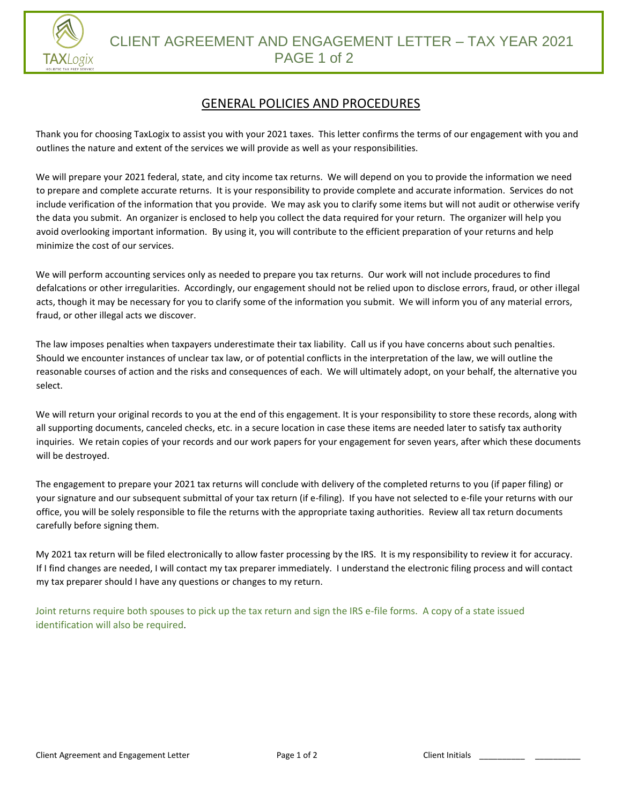

# GENERAL POLICIES AND PROCEDURES

Thank you for choosing TaxLogix to assist you with your 2021 taxes. This letter confirms the terms of our engagement with you and outlines the nature and extent of the services we will provide as well as your responsibilities.

We will prepare your 2021 federal, state, and city income tax returns. We will depend on you to provide the information we need to prepare and complete accurate returns. It is your responsibility to provide complete and accurate information. Services do not include verification of the information that you provide. We may ask you to clarify some items but will not audit or otherwise verify the data you submit. An organizer is enclosed to help you collect the data required for your return. The organizer will help you avoid overlooking important information. By using it, you will contribute to the efficient preparation of your returns and help minimize the cost of our services.

We will perform accounting services only as needed to prepare you tax returns. Our work will not include procedures to find defalcations or other irregularities. Accordingly, our engagement should not be relied upon to disclose errors, fraud, or other illegal acts, though it may be necessary for you to clarify some of the information you submit. We will inform you of any material errors, fraud, or other illegal acts we discover.

The law imposes penalties when taxpayers underestimate their tax liability. Call us if you have concerns about such penalties. Should we encounter instances of unclear tax law, or of potential conflicts in the interpretation of the law, we will outline the reasonable courses of action and the risks and consequences of each. We will ultimately adopt, on your behalf, the alternative you select.

We will return your original records to you at the end of this engagement. It is your responsibility to store these records, along with all supporting documents, canceled checks, etc. in a secure location in case these items are needed later to satisfy tax authority inquiries. We retain copies of your records and our work papers for your engagement for seven years, after which these documents will be destroyed.

The engagement to prepare your 2021 tax returns will conclude with delivery of the completed returns to you (if paper filing) or your signature and our subsequent submittal of your tax return (if e-filing). If you have not selected to e-file your returns with our office, you will be solely responsible to file the returns with the appropriate taxing authorities. Review all tax return documents carefully before signing them.

My 2021 tax return will be filed electronically to allow faster processing by the IRS. It is my responsibility to review it for accuracy. If I find changes are needed, I will contact my tax preparer immediately. I understand the electronic filing process and will contact my tax preparer should I have any questions or changes to my return.

Joint returns require both spouses to pick up the tax return and sign the IRS e-file forms. A copy of a state issued identification will also be required.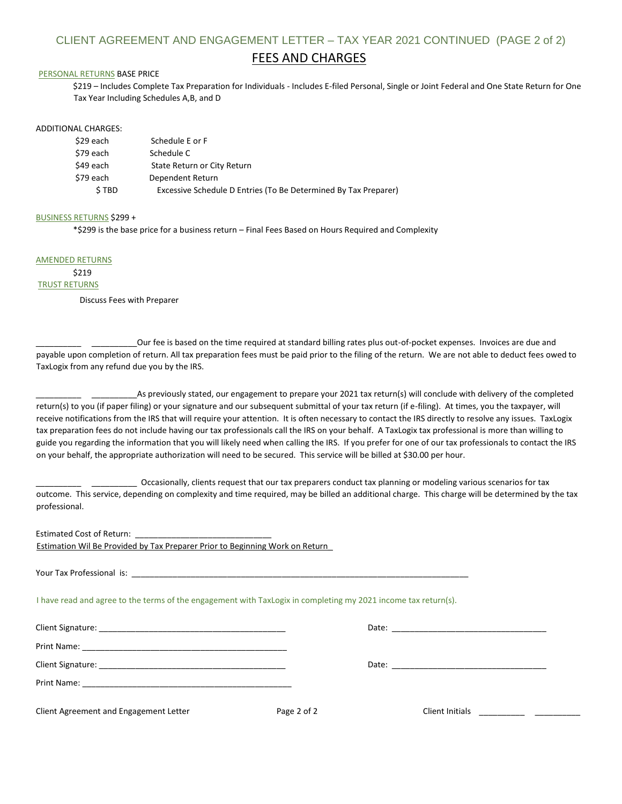### CLIENT AGREEMENT AND ENGAGEMENT LETTER – TAX YEAR 2021 CONTINUED (PAGE 2 of 2)

### FEES AND CHARGES

#### PERSONAL RETURNS BASE PRICE

\$219 – Includes Complete Tax Preparation for Individuals - Includes E-filed Personal, Single or Joint Federal and One State Return for One Tax Year Including Schedules A,B, and D

#### ADDITIONAL CHARGES:

| \$29 each | Schedule E or F                                                 |
|-----------|-----------------------------------------------------------------|
| \$79 each | Schedule C                                                      |
| \$49 each | State Return or City Return                                     |
| \$79 each | Dependent Return                                                |
| \$TBD     | Excessive Schedule D Entries (To Be Determined By Tax Preparer) |

#### BUSINESS RETURNS \$299 +

\*\$299 is the base price for a business return – Final Fees Based on Hours Required and Complexity

AMENDED RETURNS

# \$219

TRUST RETURNS

Discuss Fees with Preparer

Our fee is based on the time required at standard billing rates plus out-of-pocket expenses. Invoices are due and payable upon completion of return. All tax preparation fees must be paid prior to the filing of the return. We are not able to deduct fees owed to TaxLogix from any refund due you by the IRS.

\_\_\_\_\_\_\_\_\_\_ \_\_\_\_\_\_\_\_\_\_As previously stated, our engagement to prepare your 2021 tax return(s) will conclude with delivery of the completed return(s) to you (if paper filing) or your signature and our subsequent submittal of your tax return (if e-filing). At times, you the taxpayer, will receive notifications from the IRS that will require your attention. It is often necessary to contact the IRS directly to resolve any issues. TaxLogix tax preparation fees do not include having our tax professionals call the IRS on your behalf. A TaxLogix tax professional is more than willing to guide you regarding the information that you will likely need when calling the IRS. If you prefer for one of our tax professionals to contact the IRS on your behalf, the appropriate authorization will need to be secured. This service will be billed at \$30.00 per hour.

\_\_\_\_\_\_\_\_\_\_ \_\_\_\_\_\_\_\_\_\_ Occasionally, clients request that our tax preparers conduct tax planning or modeling various scenarios for tax outcome. This service, depending on complexity and time required, may be billed an additional charge. This charge will be determined by the tax professional.

| Estimation Wil Be Provided by Tax Preparer Prior to Beginning Work on Return                                   |             |                                                                                                                                                                                                                                |  |
|----------------------------------------------------------------------------------------------------------------|-------------|--------------------------------------------------------------------------------------------------------------------------------------------------------------------------------------------------------------------------------|--|
|                                                                                                                |             |                                                                                                                                                                                                                                |  |
| I have read and agree to the terms of the engagement with TaxLogix in completing my 2021 income tax return(s). |             |                                                                                                                                                                                                                                |  |
|                                                                                                                |             |                                                                                                                                                                                                                                |  |
|                                                                                                                |             |                                                                                                                                                                                                                                |  |
|                                                                                                                |             | Date: the contract of the contract of the contract of the contract of the contract of the contract of the contract of the contract of the contract of the contract of the contract of the contract of the contract of the cont |  |
|                                                                                                                |             |                                                                                                                                                                                                                                |  |
| Client Agreement and Engagement Letter                                                                         | Page 2 of 2 |                                                                                                                                                                                                                                |  |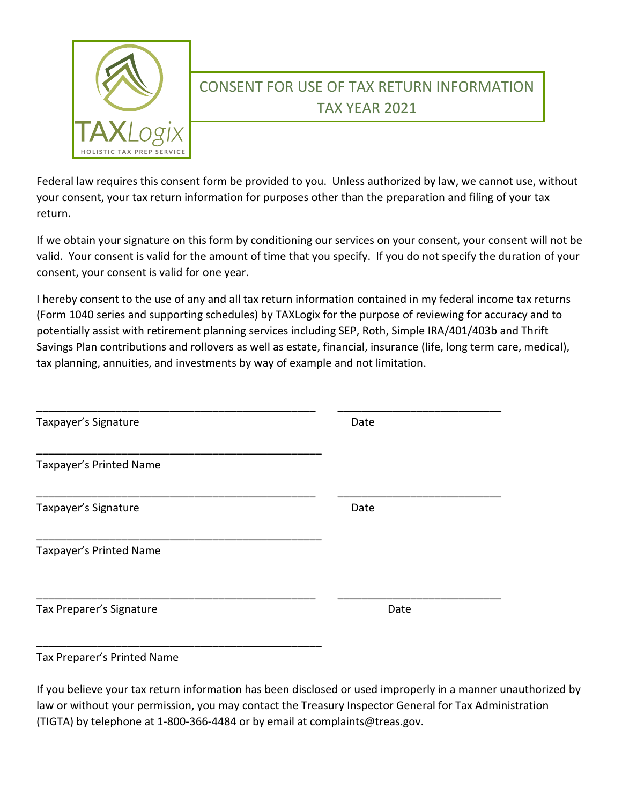

# CONSENT FOR USE OF TAX RETURN INFORMATION TAX YEAR 2021

Federal law requires this consent form be provided to you. Unless authorized by law, we cannot use, without your consent, your tax return information for purposes other than the preparation and filing of your tax return.

If we obtain your signature on this form by conditioning our services on your consent, your consent will not be valid. Your consent is valid for the amount of time that you specify. If you do not specify the duration of your consent, your consent is valid for one year.

I hereby consent to the use of any and all tax return information contained in my federal income tax returns (Form 1040 series and supporting schedules) by TAXLogix for the purpose of reviewing for accuracy and to potentially assist with retirement planning services including SEP, Roth, Simple IRA/401/403b and Thrift Savings Plan contributions and rollovers as well as estate, financial, insurance (life, long term care, medical), tax planning, annuities, and investments by way of example and not limitation.

| Taxpayer's Signature     | Date |
|--------------------------|------|
| Taxpayer's Printed Name  |      |
| Taxpayer's Signature     | Date |
| Taxpayer's Printed Name  |      |
| Tax Preparer's Signature | Date |
|                          |      |

### Tax Preparer's Printed Name

If you believe your tax return information has been disclosed or used improperly in a manner unauthorized by law or without your permission, you may contact the Treasury Inspector General for Tax Administration (TIGTA) by telephone at 1-800-366-4484 or by email at complaints@treas.gov.